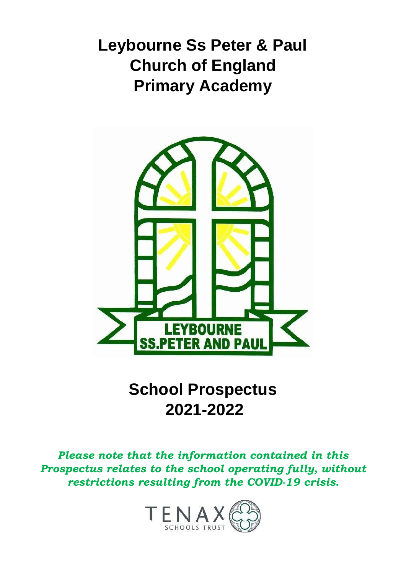# **Leybourne Ss Peter & Paul Church of England Primary Academy**



# **School Prospectus 2021-2022**

*Please note that the information contained in this Prospectus relates to the school operating fully, without restrictions resulting from the COVID-19 crisis.*

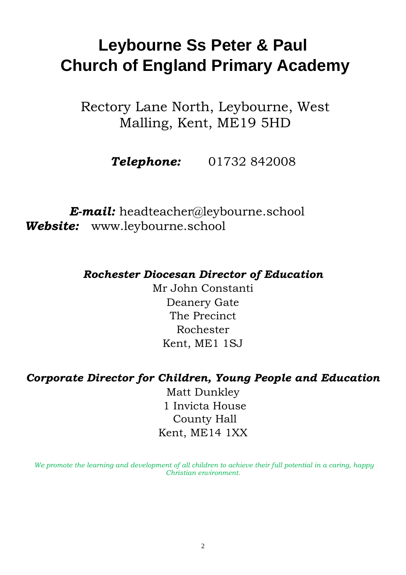# **Leybourne Ss Peter & Paul Church of England Primary Academy**

Rectory Lane North, Leybourne, West Malling, Kent, ME19 5HD

*Telephone:* 01732 842008

*E-mail:* headteacher@leybourne.school *Website:* www.leybourne.school

*Rochester Diocesan Director of Education*

Mr John Constanti Deanery Gate The Precinct Rochester Kent, ME1 1SJ

*Corporate Director for Children, Young People and Education* 

Matt Dunkley 1 Invicta House County Hall Kent, ME14 1XX

*We promote the learning and development of all children to achieve their full potential in a caring, happy Christian environment.*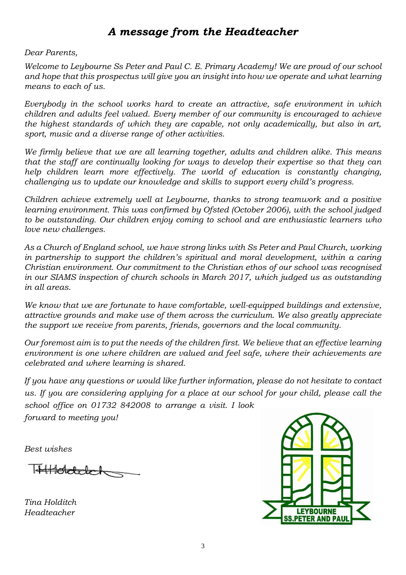# *A message from the Headteacher*

*Dear Parents,* 

*Welcome to Leybourne Ss Peter and Paul C. E. Primary Academy! We are proud of our school and hope that this prospectus will give you an insight into how we operate and what learning means to each of us.* 

*Everybody in the school works hard to create an attractive, safe environment in which children and adults feel valued. Every member of our community is encouraged to achieve the highest standards of which they are capable, not only academically, but also in art, sport, music and a diverse range of other activities.* 

*We firmly believe that we are all learning together, adults and children alike. This means that the staff are continually looking for ways to develop their expertise so that they can help children learn more effectively. The world of education is constantly changing, challenging us to update our knowledge and skills to support every child's progress.* 

*Children achieve extremely well at Leybourne, thanks to strong teamwork and a positive learning environment. This was confirmed by Ofsted (October 2006), with the school judged to be outstanding. Our children enjoy coming to school and are enthusiastic learners who love new challenges.* 

*As a Church of England school, we have strong links with Ss Peter and Paul Church, working in partnership to support the children's spiritual and moral development, within a caring Christian environment. Our commitment to the Christian ethos of our school was recognised in our SIAMS inspection of church schools in March 2017, which judged us as outstanding in all areas.* 

*We know that we are fortunate to have comfortable, well-equipped buildings and extensive, attractive grounds and make use of them across the curriculum. We also greatly appreciate the support we receive from parents, friends, governors and the local community.* 

*Our foremost aim is to put the needs of the children first. We believe that an effective learning environment is one where children are valued and feel safe, where their achievements are celebrated and where learning is shared.* 

*If you have any questions or would like further information, please do not hesitate to contact us. If you are considering applying for a place at our school for your child, please call the school office on 01732 842008 to arrange a visit. I look forward to meeting you!*

*Best wishes* 

Hoteletek

*Tina Holditch Headteacher* 

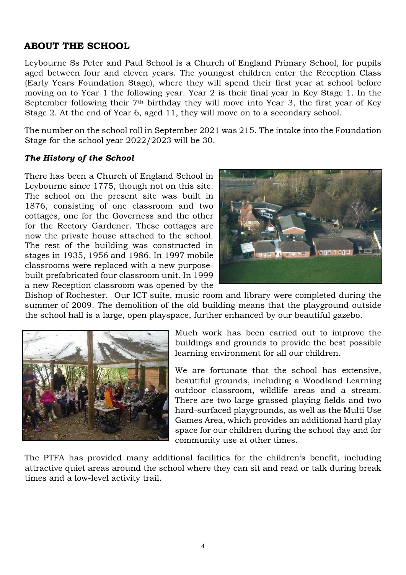## **ABOUT THE SCHOOL**

Leybourne Ss Peter and Paul School is a Church of England Primary School, for pupils aged between four and eleven years. The youngest children enter the Reception Class (Early Years Foundation Stage), where they will spend their first year at school before moving on to Year 1 the following year. Year 2 is their final year in Key Stage 1. In the September following their 7<sup>th</sup> birthday they will move into Year 3, the first year of Key Stage 2. At the end of Year 6, aged 11, they will move on to a secondary school.

The number on the school roll in September 2021 was 215. The intake into the Foundation Stage for the school year 2022/2023 will be 30.

## *The History of the School*

There has been a Church of England School in Leybourne since 1775, though not on this site. The school on the present site was built in 1876, consisting of one classroom and two cottages, one for the Governess and the other for the Rectory Gardener. These cottages are now the private house attached to the school. The rest of the building was constructed in stages in 1935, 1956 and 1986. In 1997 mobile classrooms were replaced with a new purposebuilt prefabricated four classroom unit. In 1999 a new Reception classroom was opened by the



Bishop of Rochester. Our ICT suite, music room and library were completed during the summer of 2009. The demolition of the old building means that the playground outside the school hall is a large, open playspace, further enhanced by our beautiful gazebo.



Much work has been carried out to improve the buildings and grounds to provide the best possible learning environment for all our children.

We are fortunate that the school has extensive, beautiful grounds, including a Woodland Learning outdoor classroom, wildlife areas and a stream. There are two large grassed playing fields and two hard-surfaced playgrounds, as well as the Multi Use Games Area, which provides an additional hard play space for our children during the school day and for community use at other times.

The PTFA has provided many additional facilities for the children's benefit, including attractive quiet areas around the school where they can sit and read or talk during break times and a low-level activity trail.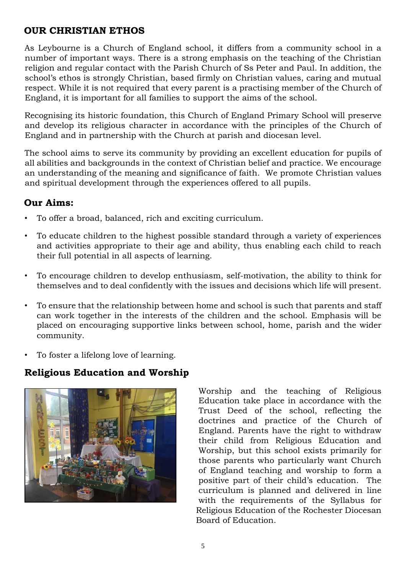# **OUR CHRISTIAN ETHOS**

As Leybourne is a Church of England school, it differs from a community school in a number of important ways. There is a strong emphasis on the teaching of the Christian religion and regular contact with the Parish Church of Ss Peter and Paul. In addition, the school's ethos is strongly Christian, based firmly on Christian values, caring and mutual respect. While it is not required that every parent is a practising member of the Church of England, it is important for all families to support the aims of the school.

Recognising its historic foundation, this Church of England Primary School will preserve and develop its religious character in accordance with the principles of the Church of England and in partnership with the Church at parish and diocesan level.

The school aims to serve its community by providing an excellent education for pupils of all abilities and backgrounds in the context of Christian belief and practice. We encourage an understanding of the meaning and significance of faith. We promote Christian values and spiritual development through the experiences offered to all pupils.

## **Our Aims:**

- To offer a broad, balanced, rich and exciting curriculum.
- To educate children to the highest possible standard through a variety of experiences and activities appropriate to their age and ability, thus enabling each child to reach their full potential in all aspects of learning.
- To encourage children to develop enthusiasm, self-motivation, the ability to think for themselves and to deal confidently with the issues and decisions which life will present.
- To ensure that the relationship between home and school is such that parents and staff can work together in the interests of the children and the school. Emphasis will be placed on encouraging supportive links between school, home, parish and the wider community.
- To foster a lifelong love of learning.

# **Religious Education and Worship**



Worship and the teaching of Religious Education take place in accordance with the Trust Deed of the school, reflecting the doctrines and practice of the Church of England. Parents have the right to withdraw their child from Religious Education and Worship, but this school exists primarily for those parents who particularly want Church of England teaching and worship to form a positive part of their child's education. The curriculum is planned and delivered in line with the requirements of the Syllabus for Religious Education of the Rochester Diocesan Board of Education.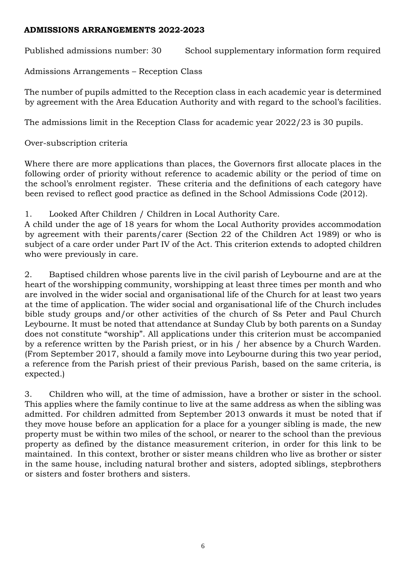## **ADMISSIONS ARRANGEMENTS 2022-2023**

Published admissions number: 30 School supplementary information form required

Admissions Arrangements – Reception Class

The number of pupils admitted to the Reception class in each academic year is determined by agreement with the Area Education Authority and with regard to the school's facilities.

The admissions limit in the Reception Class for academic year 2022/23 is 30 pupils.

Over-subscription criteria

Where there are more applications than places, the Governors first allocate places in the following order of priority without reference to academic ability or the period of time on the school's enrolment register. These criteria and the definitions of each category have been revised to reflect good practice as defined in the School Admissions Code (2012).

1. Looked After Children / Children in Local Authority Care.

A child under the age of 18 years for whom the Local Authority provides accommodation by agreement with their parents/carer (Section 22 of the Children Act 1989) or who is subject of a care order under Part IV of the Act. This criterion extends to adopted children who were previously in care.

2. Baptised children whose parents live in the civil parish of Leybourne and are at the heart of the worshipping community, worshipping at least three times per month and who are involved in the wider social and organisational life of the Church for at least two years at the time of application. The wider social and organisational life of the Church includes bible study groups and/or other activities of the church of Ss Peter and Paul Church Leybourne. It must be noted that attendance at Sunday Club by both parents on a Sunday does not constitute "worship". All applications under this criterion must be accompanied by a reference written by the Parish priest, or in his / her absence by a Church Warden. (From September 2017, should a family move into Leybourne during this two year period, a reference from the Parish priest of their previous Parish, based on the same criteria, is expected.)

3. Children who will, at the time of admission, have a brother or sister in the school. This applies where the family continue to live at the same address as when the sibling was admitted. For children admitted from September 2013 onwards it must be noted that if they move house before an application for a place for a younger sibling is made, the new property must be within two miles of the school, or nearer to the school than the previous property as defined by the distance measurement criterion, in order for this link to be maintained. In this context, brother or sister means children who live as brother or sister in the same house, including natural brother and sisters, adopted siblings, stepbrothers or sisters and foster brothers and sisters.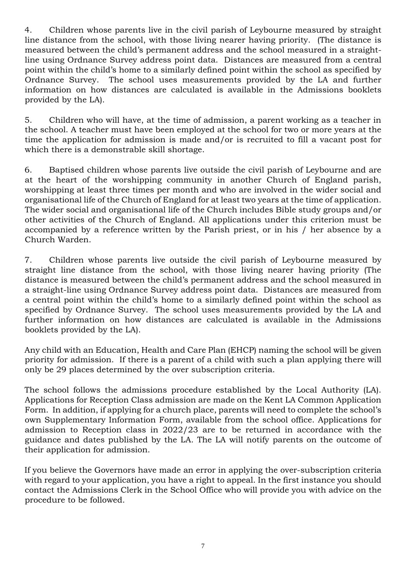4. Children whose parents live in the civil parish of Leybourne measured by straight line distance from the school, with those living nearer having priority. (The distance is measured between the child's permanent address and the school measured in a straightline using Ordnance Survey address point data. Distances are measured from a central point within the child's home to a similarly defined point within the school as specified by Ordnance Survey. The school uses measurements provided by the LA and further information on how distances are calculated is available in the Admissions booklets provided by the LA).

5. Children who will have, at the time of admission, a parent working as a teacher in the school. A teacher must have been employed at the school for two or more years at the time the application for admission is made and/or is recruited to fill a vacant post for which there is a demonstrable skill shortage.

6. Baptised children whose parents live outside the civil parish of Leybourne and are at the heart of the worshipping community in another Church of England parish, worshipping at least three times per month and who are involved in the wider social and organisational life of the Church of England for at least two years at the time of application. The wider social and organisational life of the Church includes Bible study groups and/or other activities of the Church of England. All applications under this criterion must be accompanied by a reference written by the Parish priest, or in his / her absence by a Church Warden.

7. Children whose parents live outside the civil parish of Leybourne measured by straight line distance from the school, with those living nearer having priority (The distance is measured between the child's permanent address and the school measured in a straight-line using Ordnance Survey address point data. Distances are measured from a central point within the child's home to a similarly defined point within the school as specified by Ordnance Survey. The school uses measurements provided by the LA and further information on how distances are calculated is available in the Admissions booklets provided by the LA).

Any child with an Education, Health and Care Plan (EHCP) naming the school will be given priority for admission. If there is a parent of a child with such a plan applying there will only be 29 places determined by the over subscription criteria.

The school follows the admissions procedure established by the Local Authority (LA). Applications for Reception Class admission are made on the Kent LA Common Application Form. In addition, if applying for a church place, parents will need to complete the school's own Supplementary Information Form, available from the school office. Applications for admission to Reception class in 2022/23 are to be returned in accordance with the guidance and dates published by the LA. The LA will notify parents on the outcome of their application for admission.

If you believe the Governors have made an error in applying the over-subscription criteria with regard to your application, you have a right to appeal. In the first instance you should contact the Admissions Clerk in the School Office who will provide you with advice on the procedure to be followed.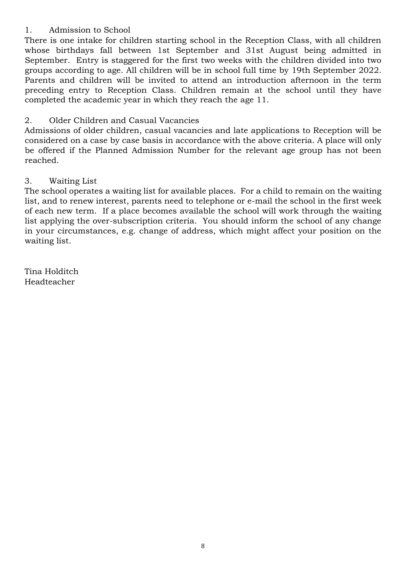## 1. Admission to School

There is one intake for children starting school in the Reception Class, with all children whose birthdays fall between 1st September and 31st August being admitted in September. Entry is staggered for the first two weeks with the children divided into two groups according to age. All children will be in school full time by 19th September 2022. Parents and children will be invited to attend an introduction afternoon in the term preceding entry to Reception Class. Children remain at the school until they have completed the academic year in which they reach the age 11.

## 2. Older Children and Casual Vacancies

Admissions of older children, casual vacancies and late applications to Reception will be considered on a case by case basis in accordance with the above criteria. A place will only be offered if the Planned Admission Number for the relevant age group has not been reached.

## 3. Waiting List

The school operates a waiting list for available places. For a child to remain on the waiting list, and to renew interest, parents need to telephone or e-mail the school in the first week of each new term. If a place becomes available the school will work through the waiting list applying the over-subscription criteria. You should inform the school of any change in your circumstances, e.g. change of address, which might affect your position on the waiting list.

Tina Holditch Headteacher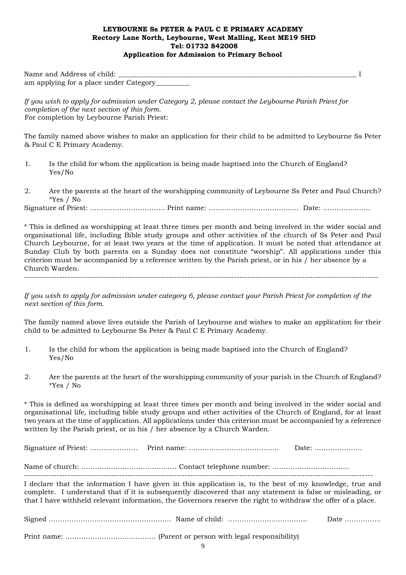#### **LEYBOURNE Ss PETER & PAUL C E PRIMARY ACADEMY Rectory Lane North, Leybourne, West Malling, Kent ME19 5HD Tel: 01732 842008 Application for Admission to Primary School**

Name and Address of child:  $\blacksquare$ am applying for a place under Category\_\_\_\_\_\_\_\_\_\_

*If you wish to apply for admission under Category 2, please contact the Leybourne Parish Priest for completion of the next section of this form.*  For completion by Leybourne Parish Priest:

The family named above wishes to make an application for their child to be admitted to Leybourne Ss Peter & Paul C E Primary Academy.

- 1. Is the child for whom the application is being made baptised into the Church of England? Yes/No
- 2. Are the parents at the heart of the worshipping community of Leybourne Ss Peter and Paul Church? \*Yes / No

Signature of Priest: …………………………… Print name: ……………………………....... Date: …………………

\* This is defined as worshipping at least three times per month and being involved in the wider social and organisational life, including Bible study groups and other activities of the church of Ss Peter and Paul Church Leybourne, for at least two years at the time of application. It must be noted that attendance at Sunday Club by both parents on a Sunday does not constitute "worship". All applications under this criterion must be accompanied by a reference written by the Parish priest, or in his / her absence by a Church Warden.

----------------------------------------------------------------------------------------------------------------------------------

*If you wish to apply for admission under category 6, please contact your Parish Priest for completion of the next section of this form.* 

The family named above lives outside the Parish of Leybourne and wishes to make an application for their child to be admitted to Leybourne Ss Peter & Paul C E Primary Academy.

- 1. Is the child for whom the application is being made baptised into the Church of England? Yes/No
- 2. Are the parents at the heart of the worshipping community of your parish in the Church of England? \*Yes / No

\* This is defined as worshipping at least three times per month and being involved in the wider social and organisational life, including bible study groups and other activities of the Church of England, for at least two years at the time of application. All applications under this criterion must be accompanied by a reference written by the Parish priest, or in his / her absence by a Church Warden.

| I declare that the information I have given in this application is, to the best of my knowledge, true and<br>complete. I understand that if it is subsequently discovered that any statement is false or misleading, or<br>that I have withheld relevant information, the Governors reserve the right to withdraw the offer of a place. |  |  |
|-----------------------------------------------------------------------------------------------------------------------------------------------------------------------------------------------------------------------------------------------------------------------------------------------------------------------------------------|--|--|
|                                                                                                                                                                                                                                                                                                                                         |  |  |
|                                                                                                                                                                                                                                                                                                                                         |  |  |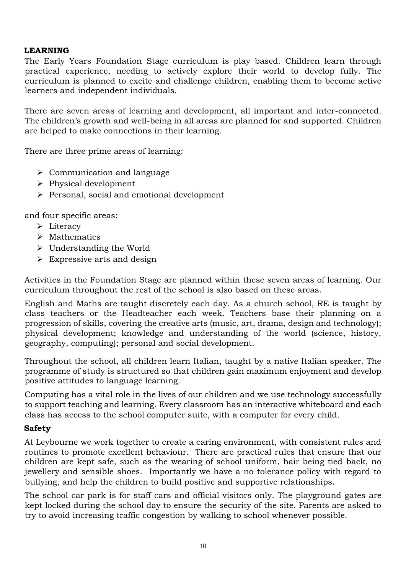## **LEARNING**

The Early Years Foundation Stage curriculum is play based. Children learn through practical experience, needing to actively explore their world to develop fully. The curriculum is planned to excite and challenge children, enabling them to become active learners and independent individuals.

There are seven areas of learning and development, all important and inter-connected. The children's growth and well-being in all areas are planned for and supported. Children are helped to make connections in their learning.

There are three prime areas of learning:

- ➢ Communication and language
- ➢ Physical development
- ➢ Personal, social and emotional development

and four specific areas:

- ➢ Literacy
- ➢ Mathematics
- ➢ Understanding the World
- $\triangleright$  Expressive arts and design

Activities in the Foundation Stage are planned within these seven areas of learning. Our curriculum throughout the rest of the school is also based on these areas.

English and Maths are taught discretely each day. As a church school, RE is taught by class teachers or the Headteacher each week. Teachers base their planning on a progression of skills, covering the creative arts (music, art, drama, design and technology); physical development; knowledge and understanding of the world (science, history, geography, computing); personal and social development.

Throughout the school, all children learn Italian, taught by a native Italian speaker. The programme of study is structured so that children gain maximum enjoyment and develop positive attitudes to language learning.

Computing has a vital role in the lives of our children and we use technology successfully to support teaching and learning. Every classroom has an interactive whiteboard and each class has access to the school computer suite, with a computer for every child.

#### **Safety**

At Leybourne we work together to create a caring environment, with consistent rules and routines to promote excellent behaviour. There are practical rules that ensure that our children are kept safe, such as the wearing of school uniform, hair being tied back, no jewellery and sensible shoes. Importantly we have a no tolerance policy with regard to bullying, and help the children to build positive and supportive relationships.

The school car park is for staff cars and official visitors only. The playground gates are kept locked during the school day to ensure the security of the site. Parents are asked to try to avoid increasing traffic congestion by walking to school whenever possible.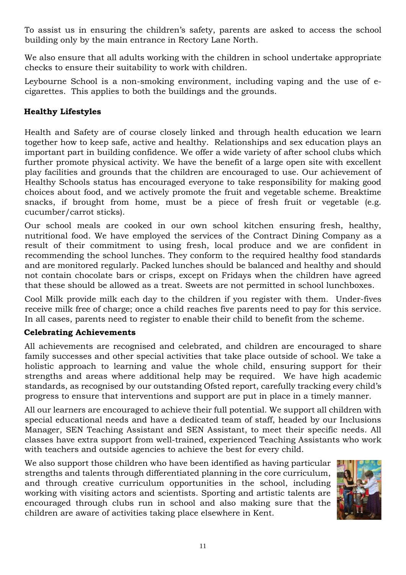To assist us in ensuring the children's safety, parents are asked to access the school building only by the main entrance in Rectory Lane North.

We also ensure that all adults working with the children in school undertake appropriate checks to ensure their suitability to work with children.

Leybourne School is a non-smoking environment, including vaping and the use of ecigarettes. This applies to both the buildings and the grounds.

## **Healthy Lifestyles**

Health and Safety are of course closely linked and through health education we learn together how to keep safe, active and healthy. Relationships and sex education plays an important part in building confidence. We offer a wide variety of after school clubs which further promote physical activity. We have the benefit of a large open site with excellent play facilities and grounds that the children are encouraged to use. Our achievement of Healthy Schools status has encouraged everyone to take responsibility for making good choices about food, and we actively promote the fruit and vegetable scheme. Breaktime snacks, if brought from home, must be a piece of fresh fruit or vegetable (e.g. cucumber/carrot sticks).

Our school meals are cooked in our own school kitchen ensuring fresh, healthy, nutritional food. We have employed the services of the Contract Dining Company as a result of their commitment to using fresh, local produce and we are confident in recommending the school lunches. They conform to the required healthy food standards and are monitored regularly. Packed lunches should be balanced and healthy and should not contain chocolate bars or crisps, except on Fridays when the children have agreed that these should be allowed as a treat. Sweets are not permitted in school lunchboxes.

Cool Milk provide milk each day to the children if you register with them. Under-fives receive milk free of charge; once a child reaches five parents need to pay for this service. In all cases, parents need to register to enable their child to benefit from the scheme.

## **Celebrating Achievements**

All achievements are recognised and celebrated, and children are encouraged to share family successes and other special activities that take place outside of school. We take a holistic approach to learning and value the whole child, ensuring support for their strengths and areas where additional help may be required. We have high academic standards, as recognised by our outstanding Ofsted report, carefully tracking every child's progress to ensure that interventions and support are put in place in a timely manner.

All our learners are encouraged to achieve their full potential. We support all children with special educational needs and have a dedicated team of staff, headed by our Inclusions Manager, SEN Teaching Assistant and SEN Assistant, to meet their specific needs. All classes have extra support from well-trained, experienced Teaching Assistants who work with teachers and outside agencies to achieve the best for every child.

We also support those children who have been identified as having particular strengths and talents through differentiated planning in the core curriculum, and through creative curriculum opportunities in the school, including working with visiting actors and scientists. Sporting and artistic talents are encouraged through clubs run in school and also making sure that the children are aware of activities taking place elsewhere in Kent.

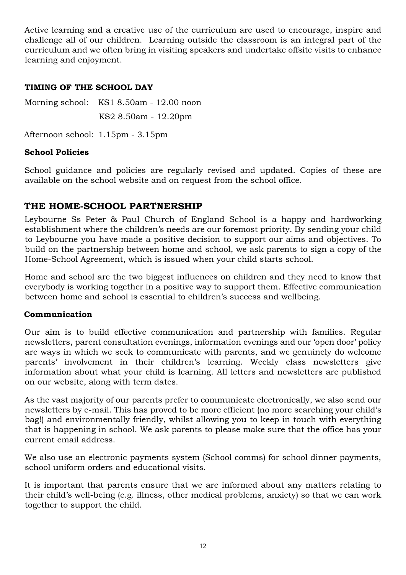Active learning and a creative use of the curriculum are used to encourage, inspire and challenge all of our children. Learning outside the classroom is an integral part of the curriculum and we often bring in visiting speakers and undertake offsite visits to enhance learning and enjoyment.

## **TIMING OF THE SCHOOL DAY**

Morning school: KS1 8.50am - 12.00 noon KS2 8.50am - 12.20pm

Afternoon school: 1.15pm - 3.15pm

### **School Policies**

School guidance and policies are regularly revised and updated. Copies of these are available on the school website and on request from the school office.

## **THE HOME-SCHOOL PARTNERSHIP**

Leybourne Ss Peter & Paul Church of England School is a happy and hardworking establishment where the children's needs are our foremost priority. By sending your child to Leybourne you have made a positive decision to support our aims and objectives. To build on the partnership between home and school, we ask parents to sign a copy of the Home-School Agreement, which is issued when your child starts school.

Home and school are the two biggest influences on children and they need to know that everybody is working together in a positive way to support them. Effective communication between home and school is essential to children's success and wellbeing.

#### **Communication**

Our aim is to build effective communication and partnership with families. Regular newsletters, parent consultation evenings, information evenings and our 'open door' policy are ways in which we seek to communicate with parents, and we genuinely do welcome parents' involvement in their children's learning. Weekly class newsletters give information about what your child is learning. All letters and newsletters are published on our website, along with term dates.

As the vast majority of our parents prefer to communicate electronically, we also send our newsletters by e-mail. This has proved to be more efficient (no more searching your child's bag!) and environmentally friendly, whilst allowing you to keep in touch with everything that is happening in school. We ask parents to please make sure that the office has your current email address.

We also use an electronic payments system (School comms) for school dinner payments, school uniform orders and educational visits.

It is important that parents ensure that we are informed about any matters relating to their child's well-being (e.g. illness, other medical problems, anxiety) so that we can work together to support the child.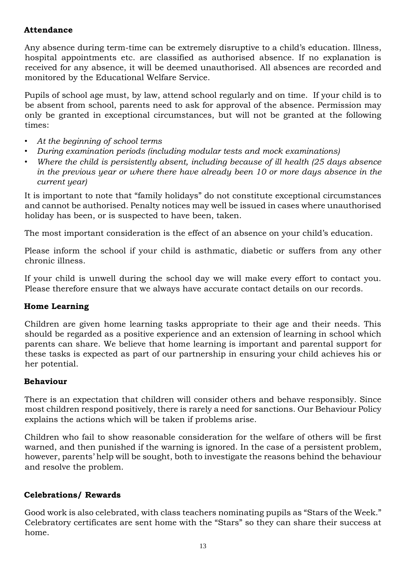## **Attendance**

Any absence during term-time can be extremely disruptive to a child's education. Illness, hospital appointments etc. are classified as authorised absence. If no explanation is received for any absence, it will be deemed unauthorised. All absences are recorded and monitored by the Educational Welfare Service.

Pupils of school age must, by law, attend school regularly and on time. If your child is to be absent from school, parents need to ask for approval of the absence. Permission may only be granted in exceptional circumstances, but will not be granted at the following times:

- *At the beginning of school terms*
- *During examination periods (including modular tests and mock examinations)*
- *Where the child is persistently absent, including because of ill health (25 days absence in the previous year or where there have already been 10 or more days absence in the current year)*

It is important to note that "family holidays" do not constitute exceptional circumstances and cannot be authorised. Penalty notices may well be issued in cases where unauthorised holiday has been, or is suspected to have been, taken.

The most important consideration is the effect of an absence on your child's education.

Please inform the school if your child is asthmatic, diabetic or suffers from any other chronic illness.

If your child is unwell during the school day we will make every effort to contact you. Please therefore ensure that we always have accurate contact details on our records.

## **Home Learning**

Children are given home learning tasks appropriate to their age and their needs. This should be regarded as a positive experience and an extension of learning in school which parents can share. We believe that home learning is important and parental support for these tasks is expected as part of our partnership in ensuring your child achieves his or her potential.

## **Behaviour**

There is an expectation that children will consider others and behave responsibly. Since most children respond positively, there is rarely a need for sanctions. Our Behaviour Policy explains the actions which will be taken if problems arise.

Children who fail to show reasonable consideration for the welfare of others will be first warned, and then punished if the warning is ignored. In the case of a persistent problem, however, parents' help will be sought, both to investigate the reasons behind the behaviour and resolve the problem.

## **Celebrations/ Rewards**

Good work is also celebrated, with class teachers nominating pupils as "Stars of the Week." Celebratory certificates are sent home with the "Stars" so they can share their success at home.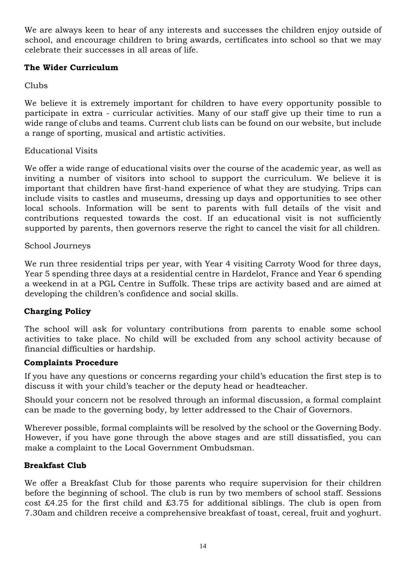We are always keen to hear of any interests and successes the children enjoy outside of school, and encourage children to bring awards, certificates into school so that we may celebrate their successes in all areas of life.

## **The Wider Curriculum**

Clubs

We believe it is extremely important for children to have every opportunity possible to participate in extra - curricular activities. Many of our staff give up their time to run a wide range of clubs and teams. Current club lists can be found on our website, but include a range of sporting, musical and artistic activities.

## Educational Visits

We offer a wide range of educational visits over the course of the academic year, as well as inviting a number of visitors into school to support the curriculum. We believe it is important that children have first-hand experience of what they are studying. Trips can include visits to castles and museums, dressing up days and opportunities to see other local schools. Information will be sent to parents with full details of the visit and contributions requested towards the cost. If an educational visit is not sufficiently supported by parents, then governors reserve the right to cancel the visit for all children.

## School Journeys

We run three residential trips per year, with Year 4 visiting Carroty Wood for three days, Year 5 spending three days at a residential centre in Hardelot, France and Year 6 spending a weekend in at a PGL Centre in Suffolk. These trips are activity based and are aimed at developing the children's confidence and social skills.

## **Charging Policy**

The school will ask for voluntary contributions from parents to enable some school activities to take place. No child will be excluded from any school activity because of financial difficulties or hardship.

## **Complaints Procedure**

If you have any questions or concerns regarding your child's education the first step is to discuss it with your child's teacher or the deputy head or headteacher.

Should your concern not be resolved through an informal discussion, a formal complaint can be made to the governing body, by letter addressed to the Chair of Governors.

Wherever possible, formal complaints will be resolved by the school or the Governing Body. However, if you have gone through the above stages and are still dissatisfied, you can make a complaint to the Local Government Ombudsman.

## **Breakfast Club**

We offer a Breakfast Club for those parents who require supervision for their children before the beginning of school. The club is run by two members of school staff. Sessions cost £4.25 for the first child and £3.75 for additional siblings. The club is open from 7.30am and children receive a comprehensive breakfast of toast, cereal, fruit and yoghurt.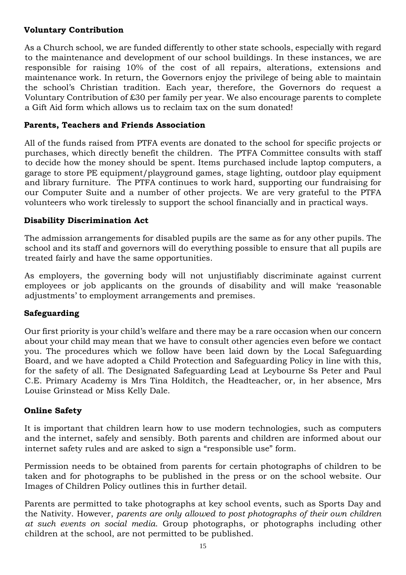## **Voluntary Contribution**

As a Church school, we are funded differently to other state schools, especially with regard to the maintenance and development of our school buildings. In these instances, we are responsible for raising 10% of the cost of all repairs, alterations, extensions and maintenance work. In return, the Governors enjoy the privilege of being able to maintain the school's Christian tradition. Each year, therefore, the Governors do request a Voluntary Contribution of £30 per family per year. We also encourage parents to complete a Gift Aid form which allows us to reclaim tax on the sum donated!

## **Parents, Teachers and Friends Association**

All of the funds raised from PTFA events are donated to the school for specific projects or purchases, which directly benefit the children. The PTFA Committee consults with staff to decide how the money should be spent. Items purchased include laptop computers, a garage to store PE equipment/playground games, stage lighting, outdoor play equipment and library furniture. The PTFA continues to work hard, supporting our fundraising for our Computer Suite and a number of other projects. We are very grateful to the PTFA volunteers who work tirelessly to support the school financially and in practical ways.

### **Disability Discrimination Act**

The admission arrangements for disabled pupils are the same as for any other pupils. The school and its staff and governors will do everything possible to ensure that all pupils are treated fairly and have the same opportunities.

As employers, the governing body will not unjustifiably discriminate against current employees or job applicants on the grounds of disability and will make 'reasonable adjustments' to employment arrangements and premises.

## **Safeguarding**

Our first priority is your child's welfare and there may be a rare occasion when our concern about your child may mean that we have to consult other agencies even before we contact you. The procedures which we follow have been laid down by the Local Safeguarding Board, and we have adopted a Child Protection and Safeguarding Policy in line with this, for the safety of all. The Designated Safeguarding Lead at Leybourne Ss Peter and Paul C.E. Primary Academy is Mrs Tina Holditch, the Headteacher, or, in her absence, Mrs Louise Grinstead or Miss Kelly Dale.

#### **Online Safety**

It is important that children learn how to use modern technologies, such as computers and the internet, safely and sensibly. Both parents and children are informed about our internet safety rules and are asked to sign a "responsible use" form.

Permission needs to be obtained from parents for certain photographs of children to be taken and for photographs to be published in the press or on the school website. Our Images of Children Policy outlines this in further detail.

Parents are permitted to take photographs at key school events, such as Sports Day and the Nativity. However, *parents are only allowed to post photographs of their own children at such events on social media*. Group photographs, or photographs including other children at the school, are not permitted to be published.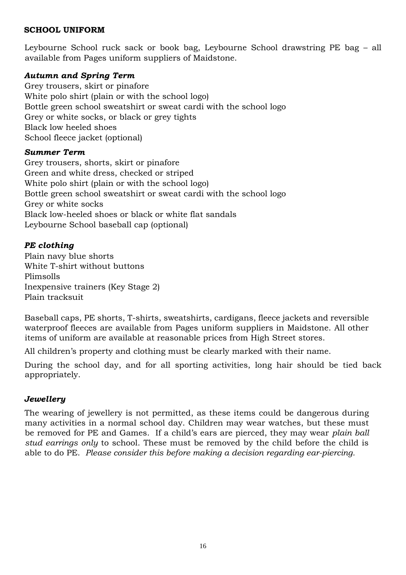## **SCHOOL UNIFORM**

Leybourne School ruck sack or book bag, Leybourne School drawstring PE bag – all available from Pages uniform suppliers of Maidstone.

### *Autumn and Spring Term*

Grey trousers, skirt or pinafore White polo shirt (plain or with the school logo) Bottle green school sweatshirt or sweat cardi with the school logo Grey or white socks, or black or grey tights Black low heeled shoes School fleece jacket (optional)

#### *Summer Term*

Grey trousers, shorts, skirt or pinafore Green and white dress, checked or striped White polo shirt (plain or with the school logo) Bottle green school sweatshirt or sweat cardi with the school logo Grey or white socks Black low-heeled shoes or black or white flat sandals Leybourne School baseball cap (optional)

### *PE clothing*

Plain navy blue shorts White T-shirt without buttons Plimsolls Inexpensive trainers (Key Stage 2) Plain tracksuit

Baseball caps, PE shorts, T-shirts, sweatshirts, cardigans, fleece jackets and reversible waterproof fleeces are available from Pages uniform suppliers in Maidstone. All other items of uniform are available at reasonable prices from High Street stores.

All children's property and clothing must be clearly marked with their name.

During the school day, and for all sporting activities, long hair should be tied back appropriately.

## *Jewellery*

The wearing of jewellery is not permitted, as these items could be dangerous during many activities in a normal school day. Children may wear watches, but these must be removed for PE and Games. If a child's ears are pierced, they may wear *plain ball stud earrings only* to school. These must be removed by the child before the child is able to do PE. *Please consider this before making a decision regarding ear-piercing.*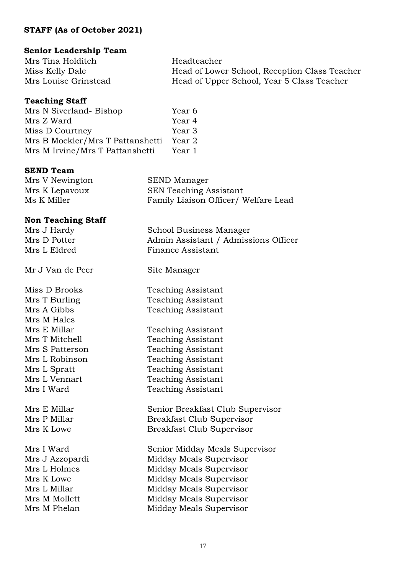### **STAFF (As of October 2021)**

## **Senior Leadership Team**

Mrs Tina Holditch Headteacher Miss Kelly Dale Head of Lower School, Reception Class Teacher Mrs Louise Grinstead Head of Upper School, Year 5 Class Teacher

#### **Teaching Staff**

| Mrs N Siverland-Bishop           | Year 6 |
|----------------------------------|--------|
| Mrs Z Ward                       | Year 4 |
| Miss D Courtney                  | Year 3 |
| Mrs B Mockler/Mrs T Pattanshetti | Year 2 |
| Mrs M Irvine/Mrs T Pattanshetti  | Year 1 |

#### **SEND Team**

| Mrs V Newington | SEND Manager                         |
|-----------------|--------------------------------------|
| Mrs K Lepavoux  | <b>SEN Teaching Assistant</b>        |
| Ms K Miller     | Family Liaison Officer/ Welfare Lead |

#### **Non Teaching Staff**

| Mrs J Hardy  | School Business Manager              |
|--------------|--------------------------------------|
| Mrs D Potter | Admin Assistant / Admissions Officer |
| Mrs L Eldred | Finance Assistant                    |
|              |                                      |

Mr J Van de Peer Site Manager

Mrs M Hales

Miss D Brooks Teaching Assistant Mrs T Burling Teaching Assistant Mrs A Gibbs Teaching Assistant

Mrs E Millar Teaching Assistant Mrs T Mitchell Teaching Assistant Mrs S Patterson Teaching Assistant Mrs L Robinson Teaching Assistant Mrs L Spratt Teaching Assistant Mrs L Vennart Teaching Assistant Mrs I Ward Teaching Assistant

Mrs E Millar Senior Breakfast Club Supervisor Mrs P Millar Breakfast Club Supervisor Mrs K Lowe Breakfast Club Supervisor

Mrs I Ward Senior Midday Meals Supervisor Mrs J Azzopardi Midday Meals Supervisor Mrs L Holmes Midday Meals Supervisor Mrs K Lowe Midday Meals Supervisor Mrs L Millar Midday Meals Supervisor Mrs M Mollett Midday Meals Supervisor Mrs M Phelan Midday Meals Supervisor